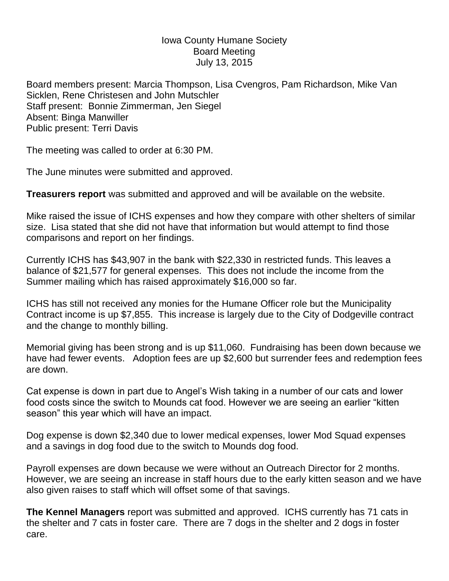## Iowa County Humane Society Board Meeting July 13, 2015

Board members present: Marcia Thompson, Lisa Cvengros, Pam Richardson, Mike Van Sicklen, Rene Christesen and John Mutschler Staff present: Bonnie Zimmerman, Jen Siegel Absent: Binga Manwiller Public present: Terri Davis

The meeting was called to order at 6:30 PM.

The June minutes were submitted and approved.

**Treasurers report** was submitted and approved and will be available on the website.

Mike raised the issue of ICHS expenses and how they compare with other shelters of similar size. Lisa stated that she did not have that information but would attempt to find those comparisons and report on her findings.

Currently ICHS has \$43,907 in the bank with \$22,330 in restricted funds. This leaves a balance of \$21,577 for general expenses. This does not include the income from the Summer mailing which has raised approximately \$16,000 so far.

ICHS has still not received any monies for the Humane Officer role but the Municipality Contract income is up \$7,855. This increase is largely due to the City of Dodgeville contract and the change to monthly billing.

Memorial giving has been strong and is up \$11,060. Fundraising has been down because we have had fewer events. Adoption fees are up \$2,600 but surrender fees and redemption fees are down.

Cat expense is down in part due to Angel's Wish taking in a number of our cats and lower food costs since the switch to Mounds cat food. However we are seeing an earlier "kitten season" this year which will have an impact.

Dog expense is down \$2,340 due to lower medical expenses, lower Mod Squad expenses and a savings in dog food due to the switch to Mounds dog food.

Payroll expenses are down because we were without an Outreach Director for 2 months. However, we are seeing an increase in staff hours due to the early kitten season and we have also given raises to staff which will offset some of that savings.

**The Kennel Managers** report was submitted and approved. ICHS currently has 71 cats in the shelter and 7 cats in foster care. There are 7 dogs in the shelter and 2 dogs in foster care.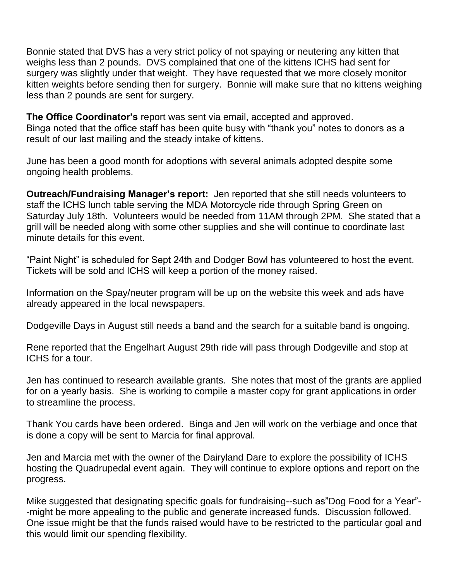Bonnie stated that DVS has a very strict policy of not spaying or neutering any kitten that weighs less than 2 pounds. DVS complained that one of the kittens ICHS had sent for surgery was slightly under that weight. They have requested that we more closely monitor kitten weights before sending then for surgery. Bonnie will make sure that no kittens weighing less than 2 pounds are sent for surgery.

**The Office Coordinator's** report was sent via email, accepted and approved. Binga noted that the office staff has been quite busy with "thank you" notes to donors as a result of our last mailing and the steady intake of kittens.

June has been a good month for adoptions with several animals adopted despite some ongoing health problems.

**Outreach/Fundraising Manager's report:** Jen reported that she still needs volunteers to staff the ICHS lunch table serving the MDA Motorcycle ride through Spring Green on Saturday July 18th. Volunteers would be needed from 11AM through 2PM. She stated that a grill will be needed along with some other supplies and she will continue to coordinate last minute details for this event.

"Paint Night" is scheduled for Sept 24th and Dodger Bowl has volunteered to host the event. Tickets will be sold and ICHS will keep a portion of the money raised.

Information on the Spay/neuter program will be up on the website this week and ads have already appeared in the local newspapers.

Dodgeville Days in August still needs a band and the search for a suitable band is ongoing.

Rene reported that the Engelhart August 29th ride will pass through Dodgeville and stop at ICHS for a tour.

Jen has continued to research available grants. She notes that most of the grants are applied for on a yearly basis. She is working to compile a master copy for grant applications in order to streamline the process.

Thank You cards have been ordered. Binga and Jen will work on the verbiage and once that is done a copy will be sent to Marcia for final approval.

Jen and Marcia met with the owner of the Dairyland Dare to explore the possibility of ICHS hosting the Quadrupedal event again. They will continue to explore options and report on the progress.

Mike suggested that designating specific goals for fundraising--such as"Dog Food for a Year"- -might be more appealing to the public and generate increased funds. Discussion followed. One issue might be that the funds raised would have to be restricted to the particular goal and this would limit our spending flexibility.